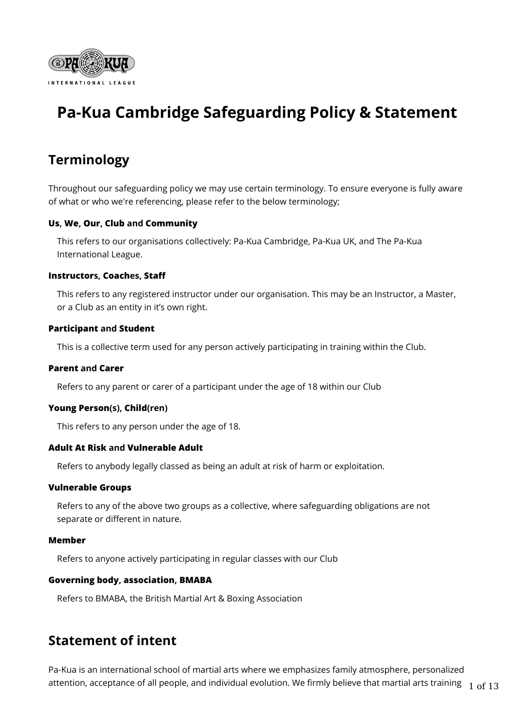

# **Pa-Kua Cambridge Safeguarding Policy & Statement**

# **Terminology**

Throughout our safeguarding policy we may use certain terminology. To ensure everyone is fully aware of what or who we're referencing, please refer to the below terminology;

### **Us, We, Our, Club and Community**

This refers to our organisations collectively: Pa-Kua Cambridge, Pa-Kua UK, and The Pa-Kua International League.

#### **Instructors, Coaches, Staff**

This refers to any registered instructor under our organisation. This may be an Instructor, a Master, or a Club as an entity in it's own right.

#### **Participant and Student**

This is a collective term used for any person actively participating in training within the Club.

#### **Parent and Carer**

Refers to any parent or carer of a participant under the age of 18 within our Club

#### **Young Person(s), Child(ren)**

This refers to any person under the age of 18.

### **Adult At Risk and Vulnerable Adult**

Refers to anybody legally classed as being an adult at risk of harm or exploitation.

#### **Vulnerable Groups**

Refers to any of the above two groups as a collective, where safeguarding obligations are not separate or different in nature.

#### **Member**

Refers to anyone actively participating in regular classes with our Club

### **Governing body, association, BMABA**

Refers to BMABA, the British Martial Art & Boxing Association

## **Statement of intent**

Pa-Kua is an international school of martial arts where we emphasizes family atmosphere, personalized attention, acceptance of all people, and individual evolution. We firmly believe that martial arts training  $1 \text{ of } 13$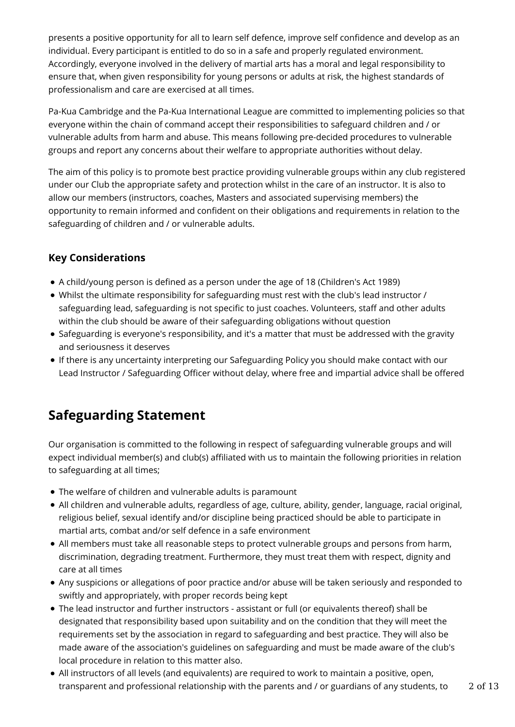presents a positive opportunity for all to learn self defence, improve self confidence and develop as an individual. Every participant is entitled to do so in a safe and properly regulated environment. Accordingly, everyone involved in the delivery of martial arts has a moral and legal responsibility to ensure that, when given responsibility for young persons or adults at risk, the highest standards of professionalism and care are exercised at all times.

Pa-Kua Cambridge and the Pa-Kua International League are committed to implementing policies so that everyone within the chain of command accept their responsibilities to safeguard children and / or vulnerable adults from harm and abuse. This means following pre-decided procedures to vulnerable groups and report any concerns about their welfare to appropriate authorities without delay.

The aim of this policy is to promote best practice providing vulnerable groups within any club registered under our Club the appropriate safety and protection whilst in the care of an instructor. It is also to allow our members (instructors, coaches, Masters and associated supervising members) the opportunity to remain informed and confident on their obligations and requirements in relation to the safeguarding of children and / or vulnerable adults.

## **Key Considerations**

- A child/young person is defined as a person under the age of 18 (Children's Act 1989)
- Whilst the ultimate responsibility for safeguarding must rest with the club's lead instructor / safeguarding lead, safeguarding is not specific to just coaches. Volunteers, staff and other adults within the club should be aware of their safeguarding obligations without question
- Safeguarding is everyone's responsibility, and it's a matter that must be addressed with the gravity and seriousness it deserves
- If there is any uncertainty interpreting our Safeguarding Policy you should make contact with our Lead Instructor / Safeguarding Officer without delay, where free and impartial advice shall be offered

# **Safeguarding Statement**

Our organisation is committed to the following in respect of safeguarding vulnerable groups and will expect individual member(s) and club(s) affiliated with us to maintain the following priorities in relation to safeguarding at all times;

- The welfare of children and vulnerable adults is paramount
- All children and vulnerable adults, regardless of age, culture, ability, gender, language, racial original, religious belief, sexual identify and/or discipline being practiced should be able to participate in martial arts, combat and/or self defence in a safe environment
- All members must take all reasonable steps to protect vulnerable groups and persons from harm, discrimination, degrading treatment. Furthermore, they must treat them with respect, dignity and care at all times
- Any suspicions or allegations of poor practice and/or abuse will be taken seriously and responded to swiftly and appropriately, with proper records being kept
- The lead instructor and further instructors assistant or full (or equivalents thereof) shall be designated that responsibility based upon suitability and on the condition that they will meet the requirements set by the association in regard to safeguarding and best practice. They will also be made aware of the association's guidelines on safeguarding and must be made aware of the club's local procedure in relation to this matter also.
- All instructors of all levels (and equivalents) are required to work to maintain a positive, open, transparent and professional relationship with the parents and / or guardians of any students, to 2 of 13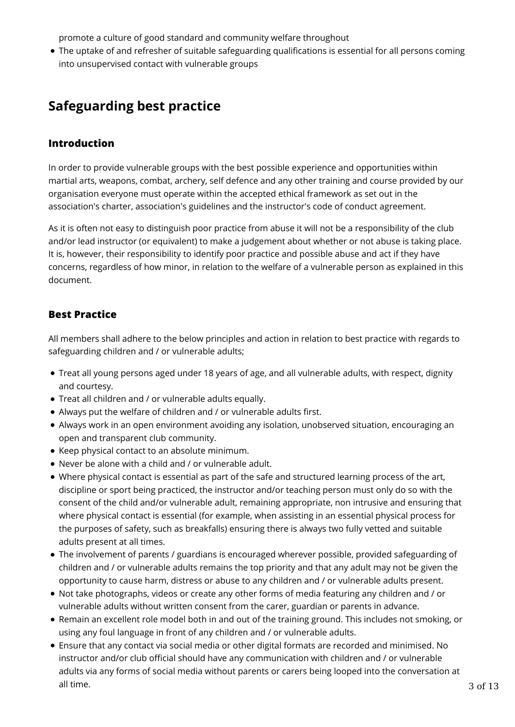promote a culture of good standard and community welfare throughout

The uptake of and refresher of suitable safeguarding qualifications is essential for all persons coming into unsupervised contact with vulnerable groups

# **Safeguarding best practice**

### **Introduction**

In order to provide vulnerable groups with the best possible experience and opportunities within martial arts, weapons, combat, archery, self defence and any other training and course provided by our organisation everyone must operate within the accepted ethical framework as set out in the association's charter, association's guidelines and the instructor's code of conduct agreement.

As it is often not easy to distinguish poor practice from abuse it will not be a responsibility of the club and/or lead instructor (or equivalent) to make a judgement about whether or not abuse is taking place. It is, however, their responsibility to identify poor practice and possible abuse and act if they have concerns, regardless of how minor, in relation to the welfare of a vulnerable person as explained in this document.

## **Best Practice**

All members shall adhere to the below principles and action in relation to best practice with regards to safeguarding children and / or vulnerable adults;

- Treat all young persons aged under 18 years of age, and all vulnerable adults, with respect, dignity and courtesy.
- Treat all children and / or vulnerable adults equally.
- Always put the welfare of children and / or vulnerable adults first.
- Always work in an open environment avoiding any isolation, unobserved situation, encouraging an open and transparent club community.
- Keep physical contact to an absolute minimum.
- Never be alone with a child and / or vulnerable adult.
- Where physical contact is essential as part of the safe and structured learning process of the art, discipline or sport being practiced, the instructor and/or teaching person must only do so with the consent of the child and/or vulnerable adult, remaining appropriate, non intrusive and ensuring that where physical contact is essential (for example, when assisting in an essential physical process for the purposes of safety, such as breakfalls) ensuring there is always two fully vetted and suitable adults present at all times.
- The involvement of parents / guardians is encouraged wherever possible, provided safeguarding of children and / or vulnerable adults remains the top priority and that any adult may not be given the opportunity to cause harm, distress or abuse to any children and / or vulnerable adults present.
- Not take photographs, videos or create any other forms of media featuring any children and / or vulnerable adults without written consent from the carer, guardian or parents in advance.
- Remain an excellent role model both in and out of the training ground. This includes not smoking, or using any foul language in front of any children and / or vulnerable adults.
- Ensure that any contact via social media or other digital formats are recorded and minimised. No instructor and/or club official should have any communication with children and / or vulnerable adults via any forms of social media without parents or carers being looped into the conversation at all time. 3 of 13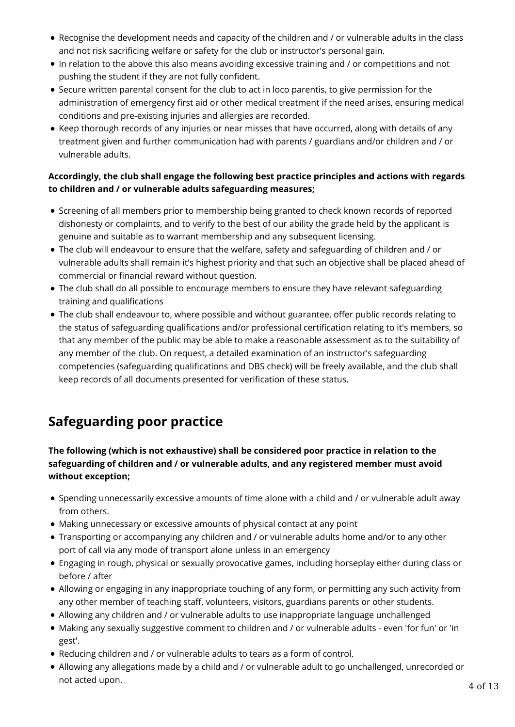- Recognise the development needs and capacity of the children and / or vulnerable adults in the class and not risk sacrificing welfare or safety for the club or instructor's personal gain.
- In relation to the above this also means avoiding excessive training and / or competitions and not pushing the student if they are not fully confident.
- Secure written parental consent for the club to act in loco parentis, to give permission for the administration of emergency first aid or other medical treatment if the need arises, ensuring medical conditions and pre-existing injuries and allergies are recorded.
- Keep thorough records of any injuries or near misses that have occurred, along with details of any treatment given and further communication had with parents / guardians and/or children and / or vulnerable adults.

### **Accordingly, the club shall engage the following best practice principles and actions with regards to children and / or vulnerable adults safeguarding measures;**

- Screening of all members prior to membership being granted to check known records of reported dishonesty or complaints, and to verify to the best of our ability the grade held by the applicant is genuine and suitable as to warrant membership and any subsequent licensing.
- The club will endeavour to ensure that the welfare, safety and safeguarding of children and / or vulnerable adults shall remain it's highest priority and that such an objective shall be placed ahead of commercial or financial reward without question.
- The club shall do all possible to encourage members to ensure they have relevant safeguarding training and qualifications
- The club shall endeavour to, where possible and without guarantee, offer public records relating to the status of safeguarding qualifications and/or professional certification relating to it's members, so that any member of the public may be able to make a reasonable assessment as to the suitability of any member of the club. On request, a detailed examination of an instructor's safeguarding competencies (safeguarding qualifications and DBS check) will be freely available, and the club shall keep records of all documents presented for verification of these status.

# **Safeguarding poor practice**

## **The following (which is not exhaustive) shall be considered poor practice in relation to the safeguarding of children and / or vulnerable adults, and any registered member must avoid without exception;**

- Spending unnecessarily excessive amounts of time alone with a child and / or vulnerable adult away from others.
- Making unnecessary or excessive amounts of physical contact at any point
- Transporting or accompanying any children and / or vulnerable adults home and/or to any other port of call via any mode of transport alone unless in an emergency
- Engaging in rough, physical or sexually provocative games, including horseplay either during class or before / after
- Allowing or engaging in any inappropriate touching of any form, or permitting any such activity from any other member of teaching staff, volunteers, visitors, guardians parents or other students.
- Allowing any children and / or vulnerable adults to use inappropriate language unchallenged
- Making any sexually suggestive comment to children and / or vulnerable adults even 'for fun' or 'in gest'.
- Reducing children and / or vulnerable adults to tears as a form of control.
- Allowing any allegations made by a child and / or vulnerable adult to go unchallenged, unrecorded or not acted upon.  $4\;$  of  $13$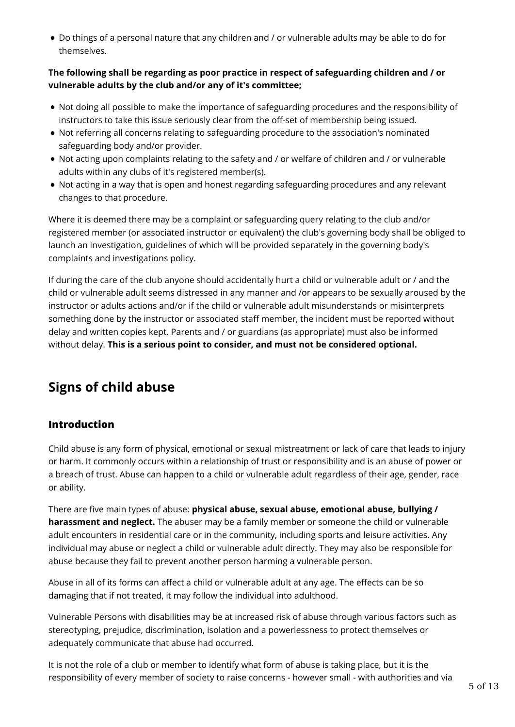Do things of a personal nature that any children and / or vulnerable adults may be able to do for themselves.

### **The following shall be regarding as poor practice in respect of safeguarding children and / or vulnerable adults by the club and/or any of it's committee;**

- Not doing all possible to make the importance of safeguarding procedures and the responsibility of instructors to take this issue seriously clear from the off-set of membership being issued.
- Not referring all concerns relating to safeguarding procedure to the association's nominated safeguarding body and/or provider.
- Not acting upon complaints relating to the safety and / or welfare of children and / or vulnerable adults within any clubs of it's registered member(s).
- Not acting in a way that is open and honest regarding safeguarding procedures and any relevant changes to that procedure.

Where it is deemed there may be a complaint or safeguarding query relating to the club and/or registered member (or associated instructor or equivalent) the club's governing body shall be obliged to launch an investigation, guidelines of which will be provided separately in the governing body's complaints and investigations policy.

If during the care of the club anyone should accidentally hurt a child or vulnerable adult or / and the child or vulnerable adult seems distressed in any manner and /or appears to be sexually aroused by the instructor or adults actions and/or if the child or vulnerable adult misunderstands or misinterprets something done by the instructor or associated staff member, the incident must be reported without delay and written copies kept. Parents and / or guardians (as appropriate) must also be informed without delay. **This is a serious point to consider, and must not be considered optional.**

# **Signs of child abuse**

## **Introduction**

Child abuse is any form of physical, emotional or sexual mistreatment or lack of care that leads to injury or harm. It commonly occurs within a relationship of trust or responsibility and is an abuse of power or a breach of trust. Abuse can happen to a child or vulnerable adult regardless of their age, gender, race or ability.

There are five main types of abuse: **physical abuse, sexual abuse, emotional abuse, bullying / harassment and neglect.** The abuser may be a family member or someone the child or vulnerable adult encounters in residential care or in the community, including sports and leisure activities. Any individual may abuse or neglect a child or vulnerable adult directly. They may also be responsible for abuse because they fail to prevent another person harming a vulnerable person.

Abuse in all of its forms can affect a child or vulnerable adult at any age. The effects can be so damaging that if not treated, it may follow the individual into adulthood.

Vulnerable Persons with disabilities may be at increased risk of abuse through various factors such as stereotyping, prejudice, discrimination, isolation and a powerlessness to protect themselves or adequately communicate that abuse had occurred.

It is not the role of a club or member to identify what form of abuse is taking place, but it is the responsibility of every member of society to raise concerns - however small - with authorities and via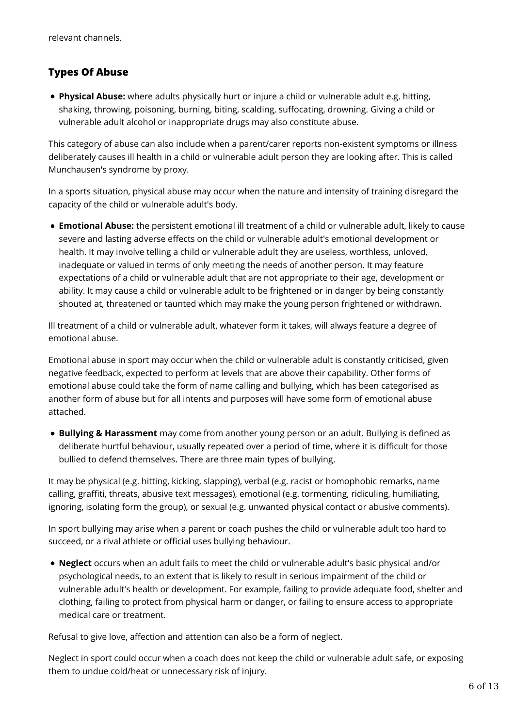## **Types Of Abuse**

**Physical Abuse:** where adults physically hurt or injure a child or vulnerable adult e.g. hitting, shaking, throwing, poisoning, burning, biting, scalding, suffocating, drowning. Giving a child or vulnerable adult alcohol or inappropriate drugs may also constitute abuse.

This category of abuse can also include when a parent/carer reports non-existent symptoms or illness deliberately causes ill health in a child or vulnerable adult person they are looking after. This is called Munchausen's syndrome by proxy.

In a sports situation, physical abuse may occur when the nature and intensity of training disregard the capacity of the child or vulnerable adult's body.

**Emotional Abuse:** the persistent emotional ill treatment of a child or vulnerable adult, likely to cause severe and lasting adverse effects on the child or vulnerable adult's emotional development or health. It may involve telling a child or vulnerable adult they are useless, worthless, unloved, inadequate or valued in terms of only meeting the needs of another person. It may feature expectations of a child or vulnerable adult that are not appropriate to their age, development or ability. It may cause a child or vulnerable adult to be frightened or in danger by being constantly shouted at, threatened or taunted which may make the young person frightened or withdrawn.

Ill treatment of a child or vulnerable adult, whatever form it takes, will always feature a degree of emotional abuse.

Emotional abuse in sport may occur when the child or vulnerable adult is constantly criticised, given negative feedback, expected to perform at levels that are above their capability. Other forms of emotional abuse could take the form of name calling and bullying, which has been categorised as another form of abuse but for all intents and purposes will have some form of emotional abuse attached.

**Bullying & Harassment** may come from another young person or an adult. Bullying is defined as deliberate hurtful behaviour, usually repeated over a period of time, where it is difficult for those bullied to defend themselves. There are three main types of bullying.

It may be physical (e.g. hitting, kicking, slapping), verbal (e.g. racist or homophobic remarks, name calling, graffiti, threats, abusive text messages), emotional (e.g. tormenting, ridiculing, humiliating, ignoring, isolating form the group), or sexual (e.g. unwanted physical contact or abusive comments).

In sport bullying may arise when a parent or coach pushes the child or vulnerable adult too hard to succeed, or a rival athlete or official uses bullying behaviour.

**Neglect** occurs when an adult fails to meet the child or vulnerable adult's basic physical and/or psychological needs, to an extent that is likely to result in serious impairment of the child or vulnerable adult's health or development. For example, failing to provide adequate food, shelter and clothing, failing to protect from physical harm or danger, or failing to ensure access to appropriate medical care or treatment.

Refusal to give love, affection and attention can also be a form of neglect.

Neglect in sport could occur when a coach does not keep the child or vulnerable adult safe, or exposing them to undue cold/heat or unnecessary risk of injury.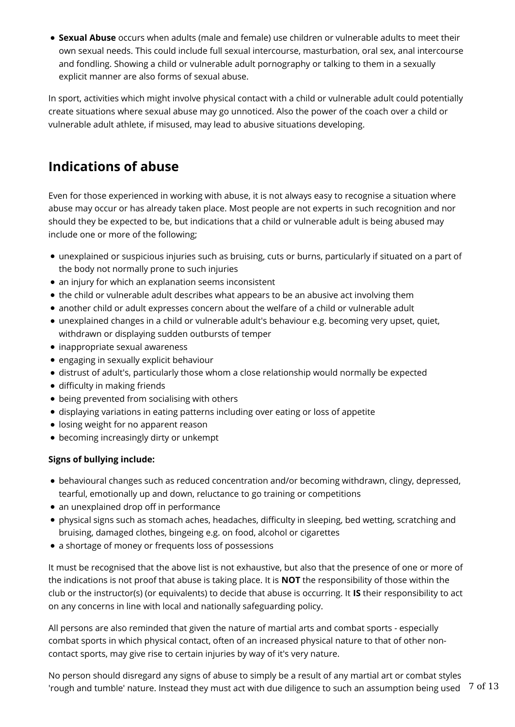**Sexual Abuse** occurs when adults (male and female) use children or vulnerable adults to meet their own sexual needs. This could include full sexual intercourse, masturbation, oral sex, anal intercourse and fondling. Showing a child or vulnerable adult pornography or talking to them in a sexually explicit manner are also forms of sexual abuse.

In sport, activities which might involve physical contact with a child or vulnerable adult could potentially create situations where sexual abuse may go unnoticed. Also the power of the coach over a child or vulnerable adult athlete, if misused, may lead to abusive situations developing.

# **Indications of abuse**

Even for those experienced in working with abuse, it is not always easy to recognise a situation where abuse may occur or has already taken place. Most people are not experts in such recognition and nor should they be expected to be, but indications that a child or vulnerable adult is being abused may include one or more of the following;

- unexplained or suspicious injuries such as bruising, cuts or burns, particularly if situated on a part of the body not normally prone to such injuries
- an injury for which an explanation seems inconsistent
- the child or vulnerable adult describes what appears to be an abusive act involving them
- another child or adult expresses concern about the welfare of a child or vulnerable adult
- unexplained changes in a child or vulnerable adult's behaviour e.g. becoming very upset, quiet, withdrawn or displaying sudden outbursts of temper
- inappropriate sexual awareness
- engaging in sexually explicit behaviour
- distrust of adult's, particularly those whom a close relationship would normally be expected
- difficulty in making friends
- being prevented from socialising with others
- displaying variations in eating patterns including over eating or loss of appetite
- losing weight for no apparent reason
- becoming increasingly dirty or unkempt

### **Signs of bullying include:**

- behavioural changes such as reduced concentration and/or becoming withdrawn, clingy, depressed, tearful, emotionally up and down, reluctance to go training or competitions
- an unexplained drop off in performance
- physical signs such as stomach aches, headaches, difficulty in sleeping, bed wetting, scratching and bruising, damaged clothes, bingeing e.g. on food, alcohol or cigarettes
- a shortage of money or frequents loss of possessions

It must be recognised that the above list is not exhaustive, but also that the presence of one or more of the indications is not proof that abuse is taking place. It is **NOT** the responsibility of those within the club or the instructor(s) (or equivalents) to decide that abuse is occurring. It **IS** their responsibility to act on any concerns in line with local and nationally safeguarding policy.

All persons are also reminded that given the nature of martial arts and combat sports - especially combat sports in which physical contact, often of an increased physical nature to that of other noncontact sports, may give rise to certain injuries by way of it's very nature.

No person should disregard any signs of abuse to simply be a result of any martial art or combat styles 'rough and tumble' nature. Instead they must act with due diligence to such an assumption being used  $\frac{7 \text{ of } 13}{2}$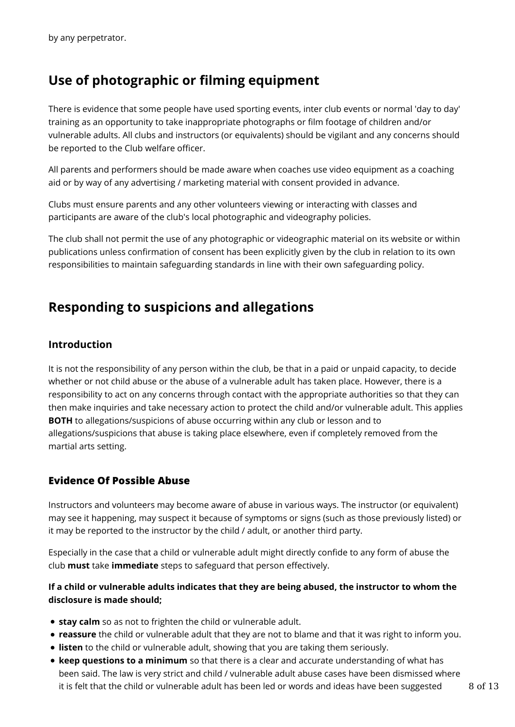# **Use of photographic or filming equipment**

There is evidence that some people have used sporting events, inter club events or normal 'day to day' training as an opportunity to take inappropriate photographs or film footage of children and/or vulnerable adults. All clubs and instructors (or equivalents) should be vigilant and any concerns should be reported to the Club welfare officer.

All parents and performers should be made aware when coaches use video equipment as a coaching aid or by way of any advertising / marketing material with consent provided in advance.

Clubs must ensure parents and any other volunteers viewing or interacting with classes and participants are aware of the club's local photographic and videography policies.

The club shall not permit the use of any photographic or videographic material on its website or within publications unless confirmation of consent has been explicitly given by the club in relation to its own responsibilities to maintain safeguarding standards in line with their own safeguarding policy.

## **Responding to suspicions and allegations**

## **Introduction**

It is not the responsibility of any person within the club, be that in a paid or unpaid capacity, to decide whether or not child abuse or the abuse of a vulnerable adult has taken place. However, there is a responsibility to act on any concerns through contact with the appropriate authorities so that they can then make inquiries and take necessary action to protect the child and/or vulnerable adult. This applies **BOTH** to allegations/suspicions of abuse occurring within any club or lesson and to allegations/suspicions that abuse is taking place elsewhere, even if completely removed from the martial arts setting.

## **Evidence Of Possible Abuse**

Instructors and volunteers may become aware of abuse in various ways. The instructor (or equivalent) may see it happening, may suspect it because of symptoms or signs (such as those previously listed) or it may be reported to the instructor by the child / adult, or another third party.

Especially in the case that a child or vulnerable adult might directly confide to any form of abuse the club **must** take **immediate** steps to safeguard that person effectively.

### **If a child or vulnerable adults indicates that they are being abused, the instructor to whom the disclosure is made should;**

- **stay calm** so as not to frighten the child or vulnerable adult.
- **reassure** the child or vulnerable adult that they are not to blame and that it was right to inform you.
- **listen** to the child or vulnerable adult, showing that you are taking them seriously.
- **keep questions to a minimum** so that there is a clear and accurate understanding of what has been said. The law is very strict and child / vulnerable adult abuse cases have been dismissed where it is felt that the child or vulnerable adult has been led or words and ideas have been suggested  $8$  of 13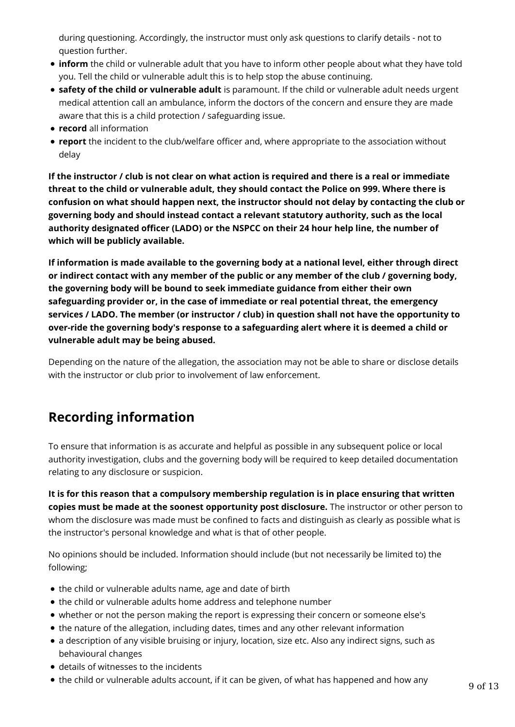during questioning. Accordingly, the instructor must only ask questions to clarify details - not to question further.

- **inform** the child or vulnerable adult that you have to inform other people about what they have told you. Tell the child or vulnerable adult this is to help stop the abuse continuing.
- **safety of the child or vulnerable adult** is paramount. If the child or vulnerable adult needs urgent medical attention call an ambulance, inform the doctors of the concern and ensure they are made aware that this is a child protection / safeguarding issue.
- **record** all information
- **report** the incident to the club/welfare officer and, where appropriate to the association without delay

**If the instructor / club is not clear on what action is required and there is a real or immediate threat to the child or vulnerable adult, they should contact the Police on 999. Where there is confusion on what should happen next, the instructor should not delay by contacting the club or governing body and should instead contact a relevant statutory authority, such as the local authority designated officer (LADO) or the NSPCC on their 24 hour help line, the number of which will be publicly available.**

**If information is made available to the governing body at a national level, either through direct or indirect contact with any member of the public or any member of the club / governing body, the governing body will be bound to seek immediate guidance from either their own safeguarding provider or, in the case of immediate or real potential threat, the emergency services / LADO. The member (or instructor / club) in question shall not have the opportunity to over-ride the governing body's response to a safeguarding alert where it is deemed a child or vulnerable adult may be being abused.**

Depending on the nature of the allegation, the association may not be able to share or disclose details with the instructor or club prior to involvement of law enforcement.

# **Recording information**

To ensure that information is as accurate and helpful as possible in any subsequent police or local authority investigation, clubs and the governing body will be required to keep detailed documentation relating to any disclosure or suspicion.

**It is for this reason that a compulsory membership regulation is in place ensuring that written copies must be made at the soonest opportunity post disclosure.** The instructor or other person to whom the disclosure was made must be confined to facts and distinguish as clearly as possible what is the instructor's personal knowledge and what is that of other people.

No opinions should be included. Information should include (but not necessarily be limited to) the following;

- the child or vulnerable adults name, age and date of birth
- the child or vulnerable adults home address and telephone number
- whether or not the person making the report is expressing their concern or someone else's
- the nature of the allegation, including dates, times and any other relevant information
- a description of any visible bruising or injury, location, size etc. Also any indirect signs, such as behavioural changes
- details of witnesses to the incidents
- the child or vulnerable adults account, if it can be given, of what has happened and how any  $9 \text{ of } 13$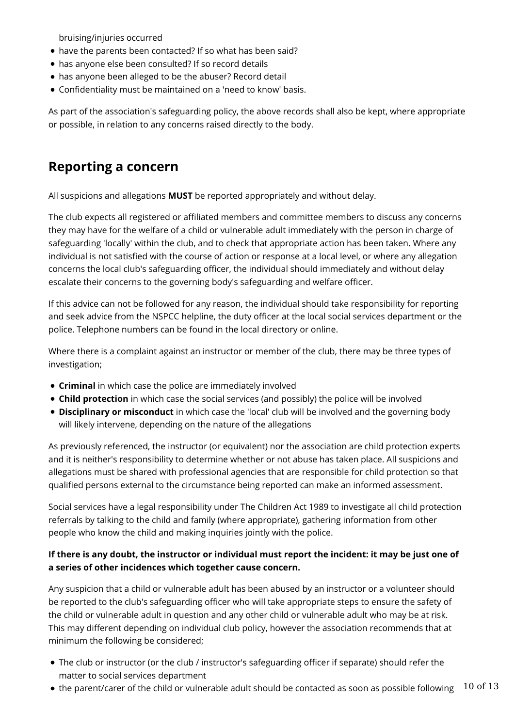bruising/injuries occurred

- have the parents been contacted? If so what has been said?
- has anyone else been consulted? If so record details
- has anyone been alleged to be the abuser? Record detail
- Confidentiality must be maintained on a 'need to know' basis.

As part of the association's safeguarding policy, the above records shall also be kept, where appropriate or possible, in relation to any concerns raised directly to the body.

## **Reporting a concern**

All suspicions and allegations **MUST** be reported appropriately and without delay.

The club expects all registered or affiliated members and committee members to discuss any concerns they may have for the welfare of a child or vulnerable adult immediately with the person in charge of safeguarding 'locally' within the club, and to check that appropriate action has been taken. Where any individual is not satisfied with the course of action or response at a local level, or where any allegation concerns the local club's safeguarding officer, the individual should immediately and without delay escalate their concerns to the governing body's safeguarding and welfare officer.

If this advice can not be followed for any reason, the individual should take responsibility for reporting and seek advice from the NSPCC helpline, the duty officer at the local social services department or the police. Telephone numbers can be found in the local directory or online.

Where there is a complaint against an instructor or member of the club, there may be three types of investigation;

- **Criminal** in which case the police are immediately involved
- **Child protection** in which case the social services (and possibly) the police will be involved
- **Disciplinary or misconduct** in which case the 'local' club will be involved and the governing body will likely intervene, depending on the nature of the allegations

As previously referenced, the instructor (or equivalent) nor the association are child protection experts and it is neither's responsibility to determine whether or not abuse has taken place. All suspicions and allegations must be shared with professional agencies that are responsible for child protection so that qualified persons external to the circumstance being reported can make an informed assessment.

Social services have a legal responsibility under The Children Act 1989 to investigate all child protection referrals by talking to the child and family (where appropriate), gathering information from other people who know the child and making inquiries jointly with the police.

### **If there is any doubt, the instructor or individual must report the incident: it may be just one of a series of other incidences which together cause concern.**

Any suspicion that a child or vulnerable adult has been abused by an instructor or a volunteer should be reported to the club's safeguarding officer who will take appropriate steps to ensure the safety of the child or vulnerable adult in question and any other child or vulnerable adult who may be at risk. This may different depending on individual club policy, however the association recommends that at minimum the following be considered;

- The club or instructor (or the club / instructor's safeguarding officer if separate) should refer the matter to social services department
- $\bullet$  the parent/carer of the child or vulnerable adult should be contacted as soon as possible following  $10$  of  $13$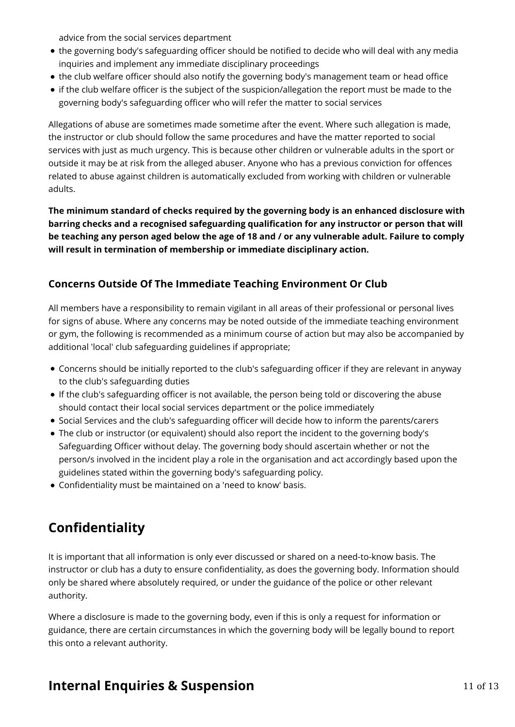advice from the social services department

- the governing body's safeguarding officer should be notified to decide who will deal with any media inquiries and implement any immediate disciplinary proceedings
- the club welfare officer should also notify the governing body's management team or head office
- if the club welfare officer is the subject of the suspicion/allegation the report must be made to the governing body's safeguarding officer who will refer the matter to social services

Allegations of abuse are sometimes made sometime after the event. Where such allegation is made, the instructor or club should follow the same procedures and have the matter reported to social services with just as much urgency. This is because other children or vulnerable adults in the sport or outside it may be at risk from the alleged abuser. Anyone who has a previous conviction for offences related to abuse against children is automatically excluded from working with children or vulnerable adults.

**The minimum standard of checks required by the governing body is an enhanced disclosure with barring checks and a recognised safeguarding qualification for any instructor or person that will be teaching any person aged below the age of 18 and / or any vulnerable adult. Failure to comply will result in termination of membership or immediate disciplinary action.**

## **Concerns Outside Of The Immediate Teaching Environment Or Club**

All members have a responsibility to remain vigilant in all areas of their professional or personal lives for signs of abuse. Where any concerns may be noted outside of the immediate teaching environment or gym, the following is recommended as a minimum course of action but may also be accompanied by additional 'local' club safeguarding guidelines if appropriate;

- Concerns should be initially reported to the club's safeguarding officer if they are relevant in anyway to the club's safeguarding duties
- If the club's safeguarding officer is not available, the person being told or discovering the abuse should contact their local social services department or the police immediately
- Social Services and the club's safeguarding officer will decide how to inform the parents/carers
- The club or instructor (or equivalent) should also report the incident to the governing body's Safeguarding Officer without delay. The governing body should ascertain whether or not the person/s involved in the incident play a role in the organisation and act accordingly based upon the guidelines stated within the governing body's safeguarding policy.
- Confidentiality must be maintained on a 'need to know' basis.

# **Confidentiality**

It is important that all information is only ever discussed or shared on a need-to-know basis. The instructor or club has a duty to ensure confidentiality, as does the governing body. Information should only be shared where absolutely required, or under the guidance of the police or other relevant authority.

Where a disclosure is made to the governing body, even if this is only a request for information or guidance, there are certain circumstances in which the governing body will be legally bound to report this onto a relevant authority.

## **Internal Enquiries & Suspension** 11 of 13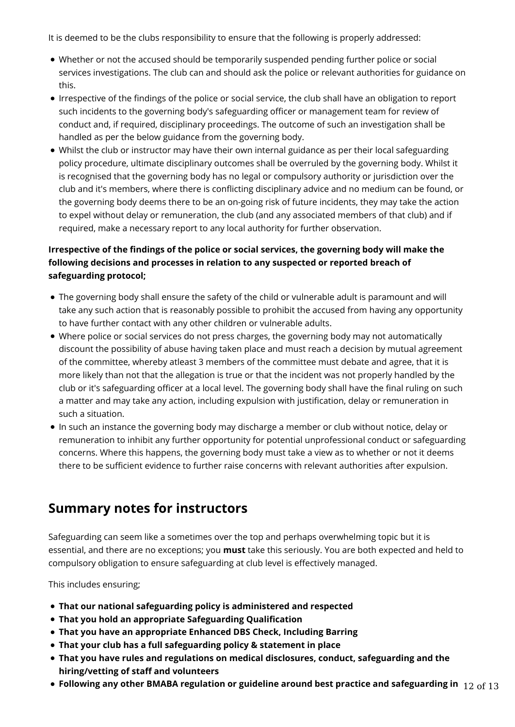It is deemed to be the clubs responsibility to ensure that the following is properly addressed:

- Whether or not the accused should be temporarily suspended pending further police or social services investigations. The club can and should ask the police or relevant authorities for guidance on this.
- Irrespective of the findings of the police or social service, the club shall have an obligation to report such incidents to the governing body's safeguarding officer or management team for review of conduct and, if required, disciplinary proceedings. The outcome of such an investigation shall be handled as per the below guidance from the governing body.
- Whilst the club or instructor may have their own internal guidance as per their local safeguarding policy procedure, ultimate disciplinary outcomes shall be overruled by the governing body. Whilst it is recognised that the governing body has no legal or compulsory authority or jurisdiction over the club and it's members, where there is conflicting disciplinary advice and no medium can be found, or the governing body deems there to be an on-going risk of future incidents, they may take the action to expel without delay or remuneration, the club (and any associated members of that club) and if required, make a necessary report to any local authority for further observation.

## **Irrespective of the findings of the police or social services, the governing body will make the following decisions and processes in relation to any suspected or reported breach of safeguarding protocol;**

- The governing body shall ensure the safety of the child or vulnerable adult is paramount and will take any such action that is reasonably possible to prohibit the accused from having any opportunity to have further contact with any other children or vulnerable adults.
- Where police or social services do not press charges, the governing body may not automatically discount the possibility of abuse having taken place and must reach a decision by mutual agreement of the committee, whereby atleast 3 members of the committee must debate and agree, that it is more likely than not that the allegation is true or that the incident was not properly handled by the club or it's safeguarding officer at a local level. The governing body shall have the final ruling on such a matter and may take any action, including expulsion with justification, delay or remuneration in such a situation.
- In such an instance the governing body may discharge a member or club without notice, delay or remuneration to inhibit any further opportunity for potential unprofessional conduct or safeguarding concerns. Where this happens, the governing body must take a view as to whether or not it deems there to be sufficient evidence to further raise concerns with relevant authorities after expulsion.

## **Summary notes for instructors**

Safeguarding can seem like a sometimes over the top and perhaps overwhelming topic but it is essential, and there are no exceptions; you **must** take this seriously. You are both expected and held to compulsory obligation to ensure safeguarding at club level is effectively managed.

This includes ensuring;

- **That our national safeguarding policy is administered and respected**
- **That you hold an appropriate Safeguarding Qualification**
- **That you have an appropriate Enhanced DBS Check, Including Barring**
- **That your club has a full safeguarding policy & statement in place**
- **That you have rules and regulations on medical disclosures, conduct, safeguarding and the hiring/vetting of staff and volunteers**
- **Following any other BMABA regulation or guideline around best practice and safeguarding in** 12 of 13